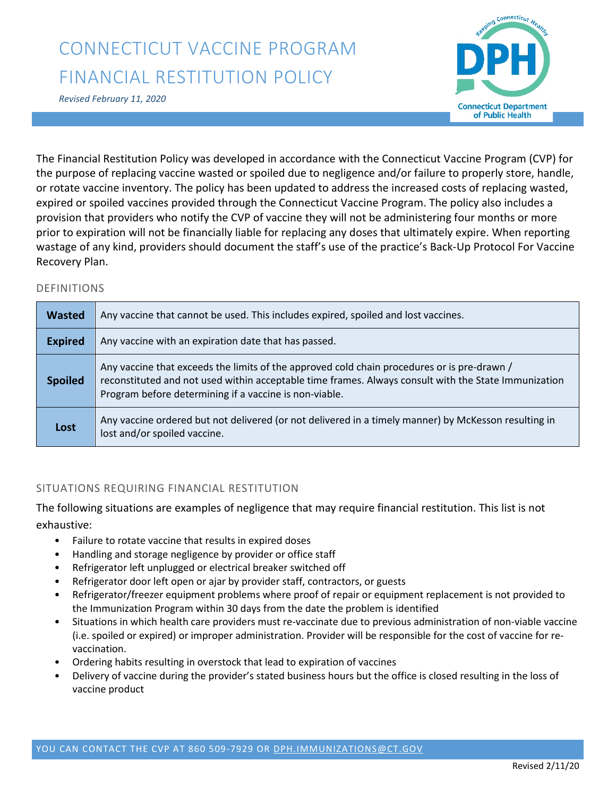# CONNECTICUT VACCINE PROGRAM FINANCIAL RESTITUTION POLICY

*Revised February 11, 2020*



The Financial Restitution Policy was developed in accordance with the Connecticut Vaccine Program (CVP) for the purpose of replacing vaccine wasted or spoiled due to negligence and/or failure to properly store, handle, or rotate vaccine inventory. The policy has been updated to address the increased costs of replacing wasted, expired or spoiled vaccines provided through the Connecticut Vaccine Program. The policy also includes a provision that providers who notify the CVP of vaccine they will not be administering four months or more prior to expiration will not be financially liable for replacing any doses that ultimately expire. When reporting wastage of any kind, providers should document the staff's use of the practice's Back-Up Protocol For Vaccine Recovery Plan.

## DEFINITIONS

| <b>Wasted</b>  | Any vaccine that cannot be used. This includes expired, spoiled and lost vaccines.                                                                                                                                                                            |
|----------------|---------------------------------------------------------------------------------------------------------------------------------------------------------------------------------------------------------------------------------------------------------------|
| <b>Expired</b> | Any vaccine with an expiration date that has passed.                                                                                                                                                                                                          |
| <b>Spoiled</b> | Any vaccine that exceeds the limits of the approved cold chain procedures or is pre-drawn /<br>reconstituted and not used within acceptable time frames. Always consult with the State Immunization<br>Program before determining if a vaccine is non-viable. |
| Lost           | Any vaccine ordered but not delivered (or not delivered in a timely manner) by McKesson resulting in<br>lost and/or spoiled vaccine.                                                                                                                          |

## SITUATIONS REQUIRING FINANCIAL RESTITUTION

The following situations are examples of negligence that may require financial restitution. This list is not exhaustive:

- Failure to rotate vaccine that results in expired doses
- Handling and storage negligence by provider or office staff
- Refrigerator left unplugged or electrical breaker switched off
- Refrigerator door left open or ajar by provider staff, contractors, or guests
- Refrigerator/freezer equipment problems where proof of repair or equipment replacement is not provided to the Immunization Program within 30 days from the date the problem is identified
- Situations in which health care providers must re-vaccinate due to previous administration of non-viable vaccine (i.e. spoiled or expired) or improper administration. Provider will be responsible for the cost of vaccine for revaccination.
- Ordering habits resulting in overstock that lead to expiration of vaccines
- Delivery of vaccine during the provider's stated business hours but the office is closed resulting in the loss of vaccine product